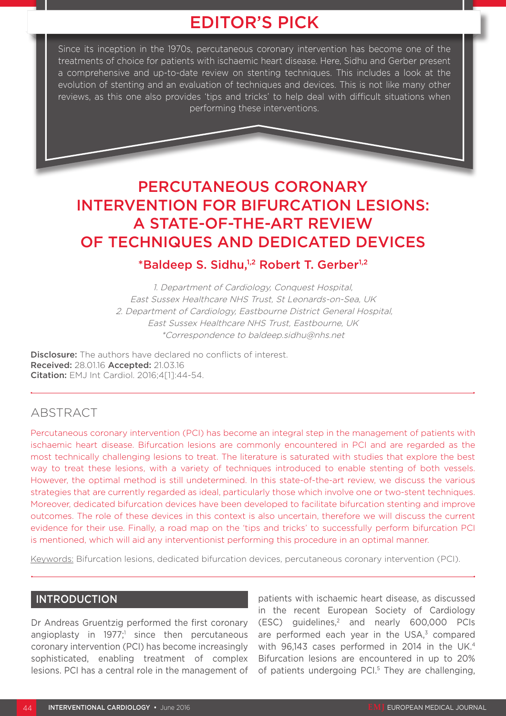# EDITOR'S PICK

Since its inception in the 1970s, percutaneous coronary intervention has become one of the treatments of choice for patients with ischaemic heart disease. Here, Sidhu and Gerber present a comprehensive and up-to-date review on stenting techniques. This includes a look at the evolution of stenting and an evaluation of techniques and devices. This is not like many other reviews, as this one also provides 'tips and tricks' to help deal with difficult situations when performing these interventions.

# PERCUTANEOUS CORONARY INTERVENTION FOR BIFURCATION LESIONS: A STATE-OF-THE-ART REVIEW OF TECHNIQUES AND DEDICATED DEVICES

# \*Baldeep S. Sidhu,1,2 Robert T. Gerber1,2

1. Department of Cardiology, Conquest Hospital, East Sussex Healthcare NHS Trust, St Leonards-on-Sea, UK 2. Department of Cardiology, Eastbourne District General Hospital, East Sussex Healthcare NHS Trust, Eastbourne, UK \*Correspondence to baldeep.sidhu@nhs.net

**Disclosure:** The authors have declared no conflicts of interest. Received: 28.01.16 Accepted: 21.03.16 Citation: EMJ Int Cardiol. 2016;4[1]:44-54.

# ABSTRACT

Percutaneous coronary intervention (PCI) has become an integral step in the management of patients with ischaemic heart disease. Bifurcation lesions are commonly encountered in PCI and are regarded as the most technically challenging lesions to treat. The literature is saturated with studies that explore the best way to treat these lesions, with a variety of techniques introduced to enable stenting of both vessels. However, the optimal method is still undetermined. In this state-of-the-art review, we discuss the various strategies that are currently regarded as ideal, particularly those which involve one or two-stent techniques. Moreover, dedicated bifurcation devices have been developed to facilitate bifurcation stenting and improve outcomes. The role of these devices in this context is also uncertain, therefore we will discuss the current evidence for their use. Finally, a road map on the 'tips and tricks' to successfully perform bifurcation PCI is mentioned, which will aid any interventionist performing this procedure in an optimal manner.

Keywords: Bifurcation lesions, dedicated bifurcation devices, percutaneous coronary intervention (PCI).

## INTRODUCTION

Dr Andreas Gruentzig performed the first coronary angioplasty in  $1977$ ;<sup>1</sup> since then percutaneous coronary intervention (PCI) has become increasingly sophisticated, enabling treatment of complex lesions. PCI has a central role in the management of patients with ischaemic heart disease, as discussed in the recent European Society of Cardiology (ESC) guidelines,2 and nearly 600,000 PCIs are performed each year in the USA,<sup>3</sup> compared with 96,143 cases performed in 2014 in the UK.<sup>4</sup> Bifurcation lesions are encountered in up to 20% of patients undergoing PCI.<sup>5</sup> They are challenging.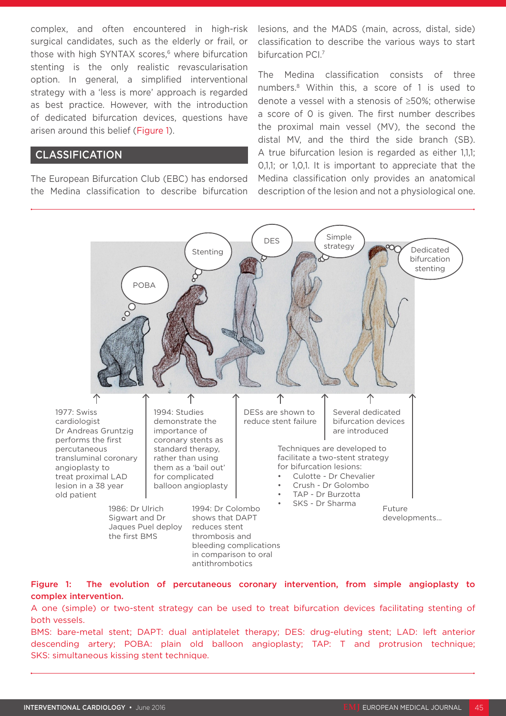complex, and often encountered in high-risk surgical candidates, such as the elderly or frail, or those with high SYNTAX scores,<sup>6</sup> where bifurcation stenting is the only realistic revascularisation option. In general, a simplified interventional strategy with a 'less is more' approach is regarded as best practice. However, with the introduction of dedicated bifurcation devices, questions have arisen around this belief (Figure 1).

## CLASSIFICATION

The European Bifurcation Club (EBC) has endorsed the Medina classification to describe bifurcation lesions, and the MADS (main, across, distal, side) classification to describe the various ways to start bifurcation PCI.7

The Medina classification consists of three numbers.8 Within this, a score of 1 is used to denote a vessel with a stenosis of ≥50%; otherwise a score of 0 is given. The first number describes the proximal main vessel (MV), the second the distal MV, and the third the side branch (SB). A true bifurcation lesion is regarded as either 1,1,1; 0,1,1; or 1,0,1. It is important to appreciate that the Medina classification only provides an anatomical description of the lesion and not a physiological one.



Figure 1: The evolution of percutaneous coronary intervention, from simple angioplasty to complex intervention.

antithrombotics

A one (simple) or two-stent strategy can be used to treat bifurcation devices facilitating stenting of both vessels.

BMS: bare-metal stent; DAPT: dual antiplatelet therapy; DES: drug-eluting stent; LAD: left anterior descending artery; POBA: plain old balloon angioplasty; TAP: T and protrusion technique; SKS: simultaneous kissing stent technique.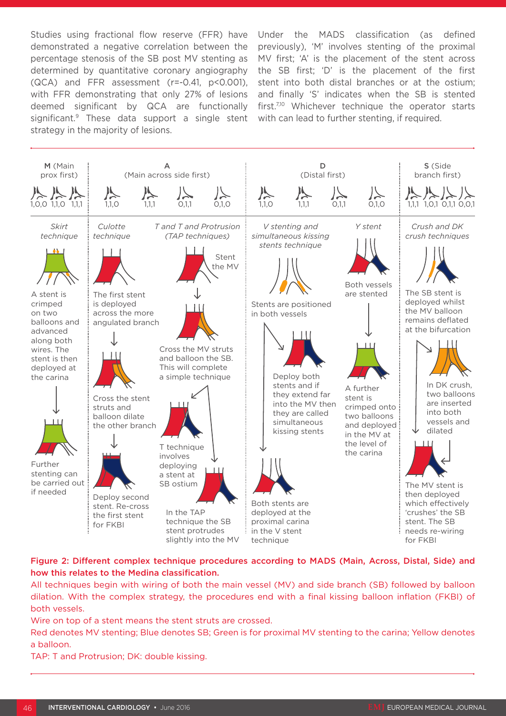Studies using fractional flow reserve (FFR) have demonstrated a negative correlation between the percentage stenosis of the SB post MV stenting as determined by quantitative coronary angiography (QCA) and FFR assessment (r=-0.41, p<0.001), with FFR demonstrating that only 27% of lesions deemed significant by QCA are functionally significant.<sup>9</sup> These data support a single stent with can lead to further stenting, if required. strategy in the majority of lesions.

Under the MADS classification (as defined previously), 'M' involves stenting of the proximal MV first; 'A' is the placement of the stent across the SB first; 'D' is the placement of the first stent into both distal branches or at the ostium; and finally 'S' indicates when the SB is stented first.<sup>7,10</sup> Whichever technique the operator starts



## Figure 2: Different complex technique procedures according to MADS (Main, Across, Distal, Side) and how this relates to the Medina classification.

All techniques begin with wiring of both the main vessel (MV) and side branch (SB) followed by balloon dilation. With the complex strategy, the procedures end with a final kissing balloon inflation (FKBI) of both vessels.

Wire on top of a stent means the stent struts are crossed.

Red denotes MV stenting; Blue denotes SB; Green is for proximal MV stenting to the carina; Yellow denotes a balloon.

TAP: T and Protrusion; DK: double kissing.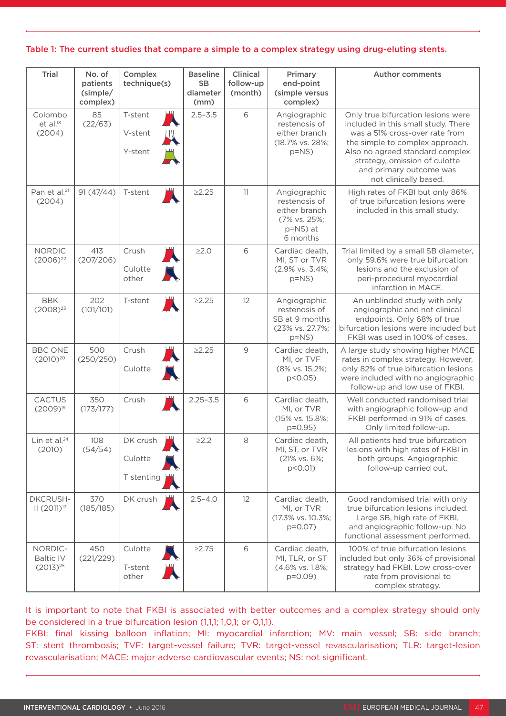| Trial                                        | No. of<br>patients<br>(simple/<br>complex) | Complex<br>technique(s)           | <b>Baseline</b><br><b>SB</b><br>diameter<br>(mm) | Clinical<br>follow-up<br>(month) | Primary<br>end-point<br>(simple versus<br>complex)                                     | <b>Author comments</b>                                                                                                                                                                                                                                                 |
|----------------------------------------------|--------------------------------------------|-----------------------------------|--------------------------------------------------|----------------------------------|----------------------------------------------------------------------------------------|------------------------------------------------------------------------------------------------------------------------------------------------------------------------------------------------------------------------------------------------------------------------|
| Colombo<br>$et$ al. $^{18}$<br>(2004)        | 85<br>(22/63)                              | T-stent<br>V-stent<br>Y-stent     | $2.5 - 3.5$                                      | 6                                | Angiographic<br>restenosis of<br>either branch<br>(18.7% vs. 28%;<br>$p=NS$            | Only true bifurcation lesions were<br>included in this small study. There<br>was a 51% cross-over rate from<br>the simple to complex approach.<br>Also no agreed standard complex<br>strategy, omission of culotte<br>and primary outcome was<br>not clinically based. |
| Pan et al. <sup>21</sup><br>(2004)           | 91(47/44)                                  | T-stent                           | $\geq$ 2.25                                      | 11                               | Angiographic<br>restenosis of<br>either branch<br>(7% vs. 25%;<br>p=NS) at<br>6 months | High rates of FKBI but only 86%<br>of true bifurcation lesions were<br>included in this small study.                                                                                                                                                                   |
| <b>NORDIC</b><br>$(2006)^{22}$               | 413<br>(207/206)                           | Crush<br>Culotte<br>other         | $\geq2.0$                                        | 6                                | Cardiac death,<br>MI, ST or TVR<br>(2.9% vs. 3.4%;<br>$p=NS$                           | Trial limited by a small SB diameter,<br>only 59.6% were true bifurcation<br>lesions and the exclusion of<br>peri-procedural myocardial<br>infarction in MACE.                                                                                                         |
| <b>BBK</b><br>$(2008)^{23}$                  | 202<br>(101/101)                           | T-stent                           | $\geq$ 2.25                                      | 12                               | Angiographic<br>restenosis of<br>SB at 9 months<br>(23% vs. 27.7%;<br>$p=NS$           | An unblinded study with only<br>angiographic and not clinical<br>endpoints. Only 68% of true<br>bifurcation lesions were included but<br>FKBI was used in 100% of cases.                                                                                               |
| <b>BBC ONE</b><br>$(2010)^{20}$              | 500<br>(250/250)                           | Crush<br>Culotte                  | $\geq$ 2.25                                      | 9                                | Cardiac death,<br>MI, or TVF<br>(8% vs. 15.2%;<br>p<0.05)                              | A large study showing higher MACE<br>rates in complex strategy. However,<br>only 82% of true bifurcation lesions<br>were included with no angiographic<br>follow-up and low use of FKBI.                                                                               |
| <b>CACTUS</b><br>$(2009)^{19}$               | 350<br>(173/177)                           | Crush                             | $2.25 - 3.5$                                     | 6                                | Cardiac death,<br>MI, or TVR<br>(15% vs. 15.8%;<br>$p = 0.95$                          | Well conducted randomised trial<br>with angiographic follow-up and<br>FKBI performed in 91% of cases.<br>Only limited follow-up.                                                                                                                                       |
| Lin et al. <sup>24</sup><br>(2010)           | 108<br>(54/54)                             | DK crush<br>Culotte<br>T stenting | $\geq$ 2.2                                       | 8                                | Cardiac death,<br>MI, ST, or TVR<br>(21% vs. 6%;<br>p<0.01)                            | All patients had true bifurcation<br>lesions with high rates of FKBI in<br>both groups. Angiographic<br>follow-up carried out.                                                                                                                                         |
| <b>DKCRUSH-</b><br>II (2011) <sup>17</sup>   | 370<br>(185/185)                           | DK crush                          | $2.5 - 4.0$                                      | 12                               | Cardiac death,<br>MI, or TVR<br>(17.3% vs. 10.3%;<br>$p=0.07$                          | Good randomised trial with only<br>true bifurcation lesions included.<br>Large SB, high rate of FKBI,<br>and angiographic follow-up. No<br>functional assessment performed.                                                                                            |
| NORDIC-<br><b>Baltic IV</b><br>$(2013)^{25}$ | 450<br>(221/229)                           | Culotte<br>T-stent<br>other       | $\geq$ 2.75                                      | 6                                | Cardiac death,<br>MI, TLR, or ST<br>(4.6% vs. 1.8%;<br>$p=0.09$                        | 100% of true bifurcation lesions<br>included but only 36% of provisional<br>strategy had FKBI. Low cross-over<br>rate from provisional to<br>complex strategy.                                                                                                         |

#### Table 1: The current studies that compare a simple to a complex strategy using drug-eluting stents.

It is important to note that FKBI is associated with better outcomes and a complex strategy should only be considered in a true bifurcation lesion (1,1,1; 1,0,1; or 0,1,1).

FKBI: final kissing balloon inflation; MI: myocardial infarction; MV: main vessel; SB: side branch; ST: stent thrombosis; TVF: target-vessel failure; TVR: target-vessel revascularisation; TLR: target-lesion revascularisation; MACE: major adverse cardiovascular events; NS: not significant.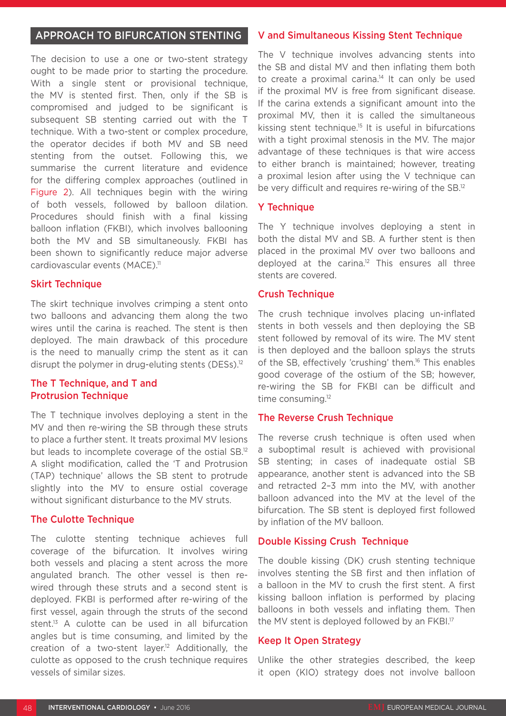## APPROACH TO BIFURCATION STENTING

The decision to use a one or two-stent strategy ought to be made prior to starting the procedure. With a single stent or provisional technique, the MV is stented first. Then, only if the SB is compromised and judged to be significant is subsequent SB stenting carried out with the T technique. With a two-stent or complex procedure, the operator decides if both MV and SB need stenting from the outset. Following this, we summarise the current literature and evidence for the differing complex approaches (outlined in Figure 2). All techniques begin with the wiring of both vessels, followed by balloon dilation. Procedures should finish with a final kissing balloon inflation (FKBI), which involves ballooning both the MV and SB simultaneously. FKBI has been shown to significantly reduce major adverse cardiovascular events (MACE).<sup>11</sup>

## **Skirt Technique**

The skirt technique involves crimping a stent onto two balloons and advancing them along the two wires until the carina is reached. The stent is then deployed. The main drawback of this procedure is the need to manually crimp the stent as it can disrupt the polymer in drug-eluting stents (DESs).<sup>12</sup>

## The T Technique, and T and Protrusion Technique

The T technique involves deploying a stent in the MV and then re-wiring the SB through these struts to place a further stent. It treats proximal MV lesions but leads to incomplete coverage of the ostial SB.12 A slight modification, called the 'T and Protrusion (TAP) technique' allows the SB stent to protrude slightly into the MV to ensure ostial coverage without significant disturbance to the MV struts.

## The Culotte Technique

The culotte stenting technique achieves full coverage of the bifurcation. It involves wiring both vessels and placing a stent across the more angulated branch. The other vessel is then rewired through these struts and a second stent is deployed. FKBI is performed after re-wiring of the first vessel, again through the struts of the second stent.<sup>13</sup> A culotte can be used in all bifurcation angles but is time consuming, and limited by the creation of a two-stent layer.<sup>12</sup> Additionally, the culotte as opposed to the crush technique requires vessels of similar sizes.

## V and Simultaneous Kissing Stent Technique

The V technique involves advancing stents into the SB and distal MV and then inflating them both to create a proximal carina.<sup>14</sup> It can only be used if the proximal MV is free from significant disease. If the carina extends a significant amount into the proximal MV, then it is called the simultaneous kissing stent technique.15 It is useful in bifurcations with a tight proximal stenosis in the MV. The major advantage of these techniques is that wire access to either branch is maintained; however, treating a proximal lesion after using the V technique can be very difficult and requires re-wiring of the SB.12

## **Y** Technique

The Y technique involves deploying a stent in both the distal MV and SB. A further stent is then placed in the proximal MV over two balloons and deployed at the carina.<sup>12</sup> This ensures all three stents are covered.

## **Crush Technique**

The crush technique involves placing un-inflated stents in both vessels and then deploying the SB stent followed by removal of its wire. The MV stent is then deployed and the balloon splays the struts of the SB, effectively 'crushing' them.<sup>16</sup> This enables good coverage of the ostium of the SB; however, re-wiring the SB for FKBI can be difficult and time consuming.<sup>12</sup>

#### The Reverse Crush Technique

The reverse crush technique is often used when a suboptimal result is achieved with provisional SB stenting; in cases of inadequate ostial SB appearance, another stent is advanced into the SB and retracted 2–3 mm into the MV, with another balloon advanced into the MV at the level of the bifurcation. The SB stent is deployed first followed by inflation of the MV balloon.

## Double Kissing Crush Technique

The double kissing (DK) crush stenting technique involves stenting the SB first and then inflation of a balloon in the MV to crush the first stent. A first kissing balloon inflation is performed by placing balloons in both vessels and inflating them. Then the MV stent is deployed followed by an FKBI.<sup>17</sup>

#### Keep It Open Strategy

Unlike the other strategies described, the keep it open (KIO) strategy does not involve balloon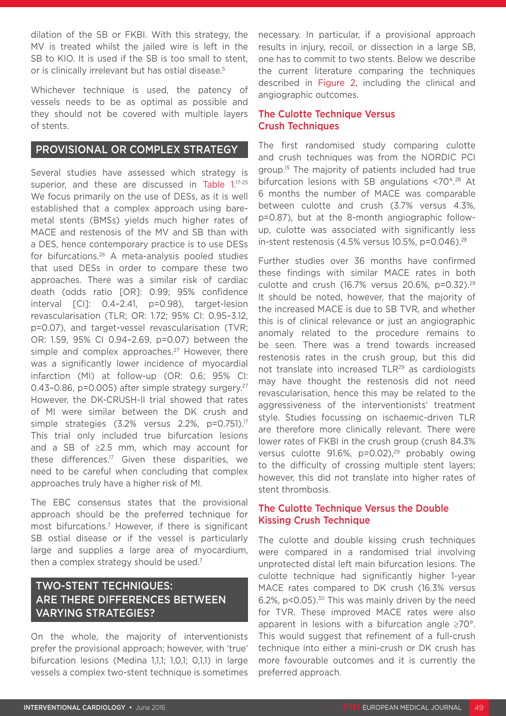dilation of the SB or FKBI. With this strategy, the MV is treated whilst the jailed wire is left in the SB to KIO. It is used if the SB is too small to stent, or is clinically irrelevant but has ostial disease.<sup>5</sup>

Whichever technique is used, the patency of vessels needs to be as optimal as possible and they should not be covered with multiple layers of stents.

## PROVISIONAL OR COMPLEX STRATEGY

Several studies have assessed which strategy is superior, and these are discussed in Table 1.<sup>17-25</sup> We focus primarily on the use of DESs, as it is well established that a complex approach using baremetal stents (BMSs) yields much higher rates of MACE and restenosis of the MV and SB than with a DES, hence contemporary practice is to use DESs for bifurcations.26 A meta-analysis pooled studies that used DESs in order to compare these two approaches. There was a similar risk of cardiac death (odds ratio [OR]: 0.99; 95% confidence interval [CI]: 0.4–2.41, p=0.98), target-lesion revascularisation (TLR; OR: 1.72; 95% CI: 0.95–3.12, p=0.07), and target-vessel revascularisation (TVR; OR: 1.59, 95% CI 0.94–2.69, p=0.07) between the simple and complex approaches.<sup>27</sup> However, there was a significantly lower incidence of myocardial infarction (MI) at follow-up (OR: 0.6; 95% CI: 0.43-0.86, p=0.005) after simple strategy surgery.<sup>27</sup> However, the DK-CRUSH-II trial showed that rates of MI were similar between the DK crush and simple strategies (3.2% versus 2.2%, p=0.751).<sup>17</sup> This trial only included true bifurcation lesions and a SB of ≥2.5 mm, which may account for these differences.17 Given these disparities, we need to be careful when concluding that complex approaches truly have a higher risk of MI.

The EBC consensus states that the provisional approach should be the preferred technique for most bifurcations.7 However, if there is significant SB ostial disease or if the vessel is particularly large and supplies a large area of myocardium, then a complex strategy should be used.7

## TWO-STENT TECHNIQUES: ARE THERE DIFFERENCES BETWEEN VARYING STRATEGIES?

On the whole, the majority of interventionists prefer the provisional approach; however, with 'true' bifurcation lesions (Medina 1,1,1; 1,0,1; 0,1,1) in large vessels a complex two-stent technique is sometimes necessary. In particular, if a provisional approach results in injury, recoil, or dissection in a large SB, one has to commit to two stents. Below we describe the current literature comparing the techniques described in Figure 2, including the clinical and angiographic outcomes.

## The Culotte Technique Versus Crush Techniques

The first randomised study comparing culotte and crush techniques was from the NORDIC PCI group.<sup>15</sup> The majority of patients included had true bifurcation lesions with SB angulations <70°.<sup>28</sup> At 6 months the number of MACE was comparable between culotte and crush (3.7% versus 4.3%, p=0.87), but at the 8-month angiographic followup, culotte was associated with significantly less in-stent restenosis (4.5% versus 10.5%, p=0.046).<sup>28</sup>

Further studies over 36 months have confirmed these findings with similar MACE rates in both culotte and crush (16.7% versus 20.6%, p=0.32).29 It should be noted, however, that the majority of the increased MACE is due to SB TVR, and whether this is of clinical relevance or just an angiographic anomaly related to the procedure remains to be seen. There was a trend towards increased restenosis rates in the crush group, but this did not translate into increased TLR29 as cardiologists may have thought the restenosis did not need revascularisation, hence this may be related to the aggressiveness of the interventionists' treatment style. Studies focussing on ischaemic-driven TLR are therefore more clinically relevant. There were lower rates of FKBI in the crush group (crush 84.3% versus culotte 91.6%, p=0.02),<sup>29</sup> probably owing to the difficulty of crossing multiple stent layers; however, this did not translate into higher rates of stent thrombosis.

## The Culotte Technique Versus the Double Kissing Crush Technique

The culotte and double kissing crush techniques were compared in a randomised trial involving unprotected distal left main bifurcation lesions. The culotte technique had significantly higher 1-year MACE rates compared to DK crush (16.3% versus 6.2%,  $p < 0.05$ ).<sup>30</sup> This was mainly driven by the need for TVR. These improved MACE rates were also apparent in lesions with a bifurcation angle ≥70°. This would suggest that refinement of a full-crush technique into either a mini-crush or DK crush has more favourable outcomes and it is currently the preferred approach.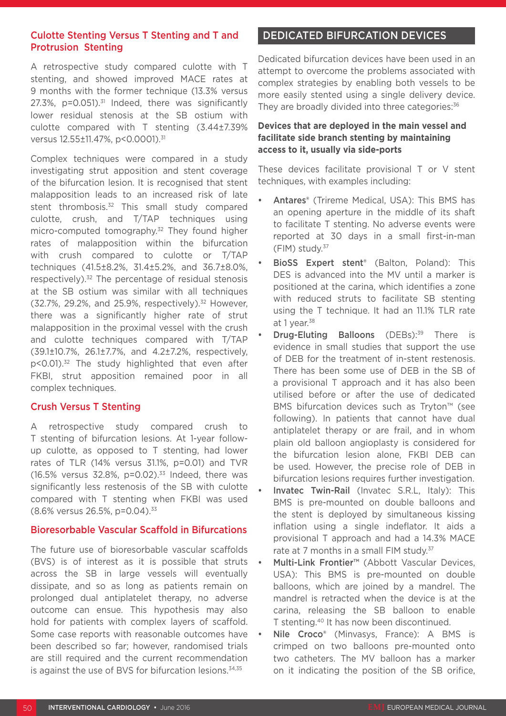## Culotte Stenting Versus T Stenting and T and Protrusion Stenting

A retrospective study compared culotte with T stenting, and showed improved MACE rates at 9 months with the former technique (13.3% versus 27.3%,  $p=0.051$ ).<sup>31</sup> Indeed, there was significantly lower residual stenosis at the SB ostium with culotte compared with T stenting (3.44±7.39% versus 12.55±11.47%, p<0.0001).<sup>31</sup>

Complex techniques were compared in a study investigating strut apposition and stent coverage of the bifurcation lesion. It is recognised that stent malapposition leads to an increased risk of late stent thrombosis.<sup>32</sup> This small study compared culotte, crush, and T/TAP techniques using micro-computed tomography.32 They found higher rates of malapposition within the bifurcation with crush compared to culotte or T/TAP techniques (41.5±8.2%, 31.4±5.2%, and 36.7±8.0%, respectively).32 The percentage of residual stenosis at the SB ostium was similar with all techniques (32.7%, 29.2%, and 25.9%, respectively).32 However, there was a significantly higher rate of strut malapposition in the proximal vessel with the crush and culotte techniques compared with T/TAP (39.1±10.7%, 26.1±7.7%, and 4.2±7.2%, respectively, p<0.01).<sup>32</sup> The study highlighted that even after FKBI, strut apposition remained poor in all complex techniques.

## Crush Versus T Stenting

A retrospective study compared crush to T stenting of bifurcation lesions. At 1-year followup culotte, as opposed to T stenting, had lower rates of TLR (14% versus 31.1%, p=0.01) and TVR (16.5% versus 32.8%,  $p=0.02$ ).<sup>33</sup> Indeed, there was significantly less restenosis of the SB with culotte compared with T stenting when FKBI was used (8.6% versus 26.5%, p=0.04).33

#### Bioresorbable Vascular Scaffold in Bifurcations

The future use of bioresorbable vascular scaffolds (BVS) is of interest as it is possible that struts across the SB in large vessels will eventually dissipate, and so as long as patients remain on prolonged dual antiplatelet therapy, no adverse outcome can ensue. This hypothesis may also hold for patients with complex layers of scaffold. Some case reports with reasonable outcomes have been described so far; however, randomised trials are still required and the current recommendation is against the use of BVS for bifurcation lesions.<sup>34,35</sup>

## DEDICATED BIFURCATION DEVICES

Dedicated bifurcation devices have been used in an attempt to overcome the problems associated with complex strategies by enabling both vessels to be more easily stented using a single delivery device. They are broadly divided into three categories:<sup>36</sup>

## **Devices that are deployed in the main vessel and facilitate side branch stenting by maintaining access to it, usually via side-ports**

These devices facilitate provisional T or V stent techniques, with examples including:

- Antares® (Trireme Medical, USA): This BMS has an opening aperture in the middle of its shaft to facilitate T stenting. No adverse events were reported at 30 days in a small first-in-man (FIM) study.37
- BioSS Expert stent<sup>®</sup> (Balton, Poland): This DES is advanced into the MV until a marker is positioned at the carina, which identifies a zone with reduced struts to facilitate SB stenting using the T technique. It had an 11.1% TLR rate at 1 year.<sup>38</sup>
- **Drug-Eluting Balloons** (DEBs):<sup>39</sup> There is evidence in small studies that support the use of DEB for the treatment of in-stent restenosis. There has been some use of DEB in the SB of a provisional T approach and it has also been utilised before or after the use of dedicated BMS bifurcation devices such as Tryton™ (see following). In patients that cannot have dual antiplatelet therapy or are frail, and in whom plain old balloon angioplasty is considered for the bifurcation lesion alone, FKBI DEB can be used. However, the precise role of DEB in bifurcation lesions requires further investigation.
- Invatec Twin-Rail (Invatec S.R.L, Italy): This BMS is pre-mounted on double balloons and the stent is deployed by simultaneous kissing inflation using a single indeflator. It aids a provisional T approach and had a 14.3% MACE rate at 7 months in a small FIM study.<sup>37</sup>
- Multi-Link Frontier™ (Abbott Vascular Devices, USA): This BMS is pre-mounted on double balloons, which are joined by a mandrel. The mandrel is retracted when the device is at the carina, releasing the SB balloon to enable T stenting.40 It has now been discontinued.
- Nile Croco<sup>®</sup> (Minvasys, France): A BMS is crimped on two balloons pre-mounted onto two catheters. The MV balloon has a marker on it indicating the position of the SB orifice,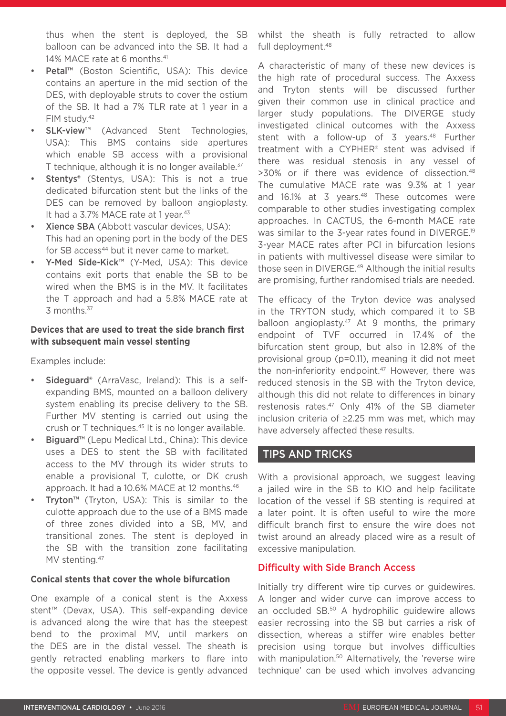thus when the stent is deployed, the SB balloon can be advanced into the SB. It had a 14% MACE rate at 6 months.<sup>41</sup>

- Petal™ (Boston Scientific, USA): This device contains an aperture in the mid section of the DES, with deployable struts to cover the ostium of the SB. It had a 7% TLR rate at 1 year in a FIM study.42
- SLK-view<sup>™</sup> (Advanced Stent Technologies, USA): This BMS contains side apertures which enable SB access with a provisional T technique, although it is no longer available.<sup>37</sup>
- **Stentys®** (Stentys, USA): This is not a true dedicated bifurcation stent but the links of the DES can be removed by balloon angioplasty. It had a 3.7% MACE rate at 1 year.<sup>43</sup>
- Xience SBA (Abbott vascular devices, USA): This had an opening port in the body of the DES for SB access<sup>44</sup> but it never came to market.
- Y-Med Side-Kick™ (Y-Med, USA): This device contains exit ports that enable the SB to be wired when the BMS is in the MV. It facilitates the T approach and had a 5.8% MACE rate at 3 months.37

## **Devices that are used to treat the side branch first with subsequent main vessel stenting**

Examples include:

- Sideguard<sup>®</sup> (ArraVasc, Ireland): This is a selfexpanding BMS, mounted on a balloon delivery system enabling its precise delivery to the SB. Further MV stenting is carried out using the crush or T techniques.45 It is no longer available.
- Biguard<sup>™</sup> (Lepu Medical Ltd., China): This device uses a DES to stent the SB with facilitated access to the MV through its wider struts to enable a provisional T, culotte, or DK crush approach. It had a 10.6% MACE at 12 months.<sup>46</sup>
- Tryton<sup>™</sup> (Tryton, USA): This is similar to the culotte approach due to the use of a BMS made of three zones divided into a SB, MV, and transitional zones. The stent is deployed in the SB with the transition zone facilitating MV stenting.<sup>47</sup>

#### **Conical stents that cover the whole bifurcation**

One example of a conical stent is the Axxess stent™ (Devax, USA). This self-expanding device is advanced along the wire that has the steepest bend to the proximal MV, until markers on the DES are in the distal vessel. The sheath is gently retracted enabling markers to flare into the opposite vessel. The device is gently advanced whilst the sheath is fully retracted to allow full deployment.48

A characteristic of many of these new devices is the high rate of procedural success. The Axxess and Tryton stents will be discussed further given their common use in clinical practice and larger study populations. The DIVERGE study investigated clinical outcomes with the Axxess stent with a follow-up of 3 years.<sup>48</sup> Further treatment with a CYPHER® stent was advised if there was residual stenosis in any vessel of >30% or if there was evidence of dissection.48 The cumulative MACE rate was 9.3% at 1 year and 16.1% at 3 years.<sup>48</sup> These outcomes were comparable to other studies investigating complex approaches. In CACTUS, the 6-month MACE rate was similar to the 3-year rates found in DIVERGE.<sup>19</sup> 3-year MACE rates after PCI in bifurcation lesions in patients with multivessel disease were similar to those seen in DIVERGE.<sup>49</sup> Although the initial results are promising, further randomised trials are needed.

The efficacy of the Tryton device was analysed in the TRYTON study, which compared it to SB balloon angioplasty.<sup>47</sup> At 9 months, the primary endpoint of TVF occurred in 17.4% of the bifurcation stent group, but also in 12.8% of the provisional group (p=0.11), meaning it did not meet the non-inferiority endpoint.<sup>47</sup> However, there was reduced stenosis in the SB with the Tryton device, although this did not relate to differences in binary restenosis rates.47 Only 41% of the SB diameter inclusion criteria of ≥2.25 mm was met, which may have adversely affected these results.

## TIPS AND TRICKS

With a provisional approach, we suggest leaving a jailed wire in the SB to KIO and help facilitate location of the vessel if SB stenting is required at a later point. It is often useful to wire the more difficult branch first to ensure the wire does not twist around an already placed wire as a result of excessive manipulation.

## Difficulty with Side Branch Access

Initially try different wire tip curves or guidewires. A longer and wider curve can improve access to an occluded SB.50 A hydrophilic guidewire allows easier recrossing into the SB but carries a risk of dissection, whereas a stiffer wire enables better precision using torque but involves difficulties with manipulation.<sup>50</sup> Alternatively, the 'reverse wire technique' can be used which involves advancing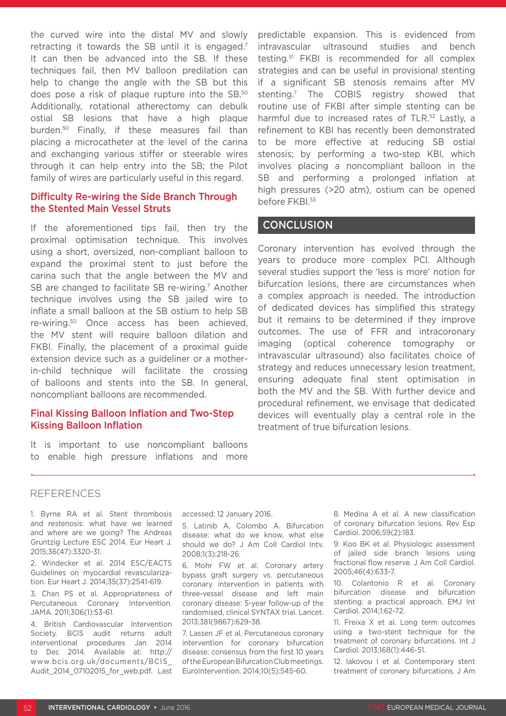the curved wire into the distal MV and slowly retracting it towards the SB until it is engaged.<sup>7</sup> It can then be advanced into the SB. If these techniques fail, then MV balloon predilation can help to change the angle with the SB but this does pose a risk of plaque rupture into the SB.50 Additionally, rotational atherectomy can debulk ostial SB lesions that have a high plaque burden.50 Finally, if these measures fail than placing a microcatheter at the level of the carina and exchanging various stiffer or steerable wires through it can help entry into the SB; the Pilot family of wires are particularly useful in this regard.

## Difficulty Re-wiring the Side Branch Through the Stented Main Vessel Struts

If the aforementioned tips fail, then try the proximal optimisation technique. This involves using a short, oversized, non-compliant balloon to expand the proximal stent to just before the carina such that the angle between the MV and SB are changed to facilitate SB re-wiring.<sup>7</sup> Another technique involves using the SB jailed wire to inflate a small balloon at the SB ostium to help SB re-wiring.50 Once access has been achieved, the MV stent will require balloon dilation and FKBI. Finally, the placement of a proximal guide extension device such as a guideliner or a motherin-child technique will facilitate the crossing of balloons and stents into the SB. In general, noncompliant balloons are recommended.

## Final Kissing Balloon Inflation and Two-Step Kissing Balloon Inflation

It is important to use noncompliant balloons to enable high pressure inflations and more

predictable expansion. This is evidenced from intravascular ultrasound studies and bench testing.51 FKBI is recommended for all complex strategies and can be useful in provisional stenting if a significant SB stenosis remains after MV stenting.7 The COBIS registry showed that routine use of FKBI after simple stenting can be harmful due to increased rates of TLR.<sup>52</sup> Lastly, a refinement to KBI has recently been demonstrated to be more effective at reducing SB ostial stenosis; by performing a two-step KBI, which involves placing a noncompliant balloon in the SB and performing a prolonged inflation at high pressures (>20 atm), ostium can be opened before FKBI.<sup>53</sup>

## **CONCLUSION**

Coronary intervention has evolved through the years to produce more complex PCI. Although several studies support the 'less is more' notion for bifurcation lesions, there are circumstances when a complex approach is needed. The introduction of dedicated devices has simplified this strategy but it remains to be determined if they improve outcomes. The use of FFR and intracoronary imaging (optical coherence tomography or intravascular ultrasound) also facilitates choice of strategy and reduces unnecessary lesion treatment, ensuring adequate final stent optimisation in both the MV and the SB. With further device and procedural refinement, we envisage that dedicated devices will eventually play a central role in the treatment of true bifurcation lesions.

#### REFERENCES

1. Byrne RA et al. Stent thrombosis and restenosis: what have we learned and where are we going? The Andreas Gruntzig Lecture ESC 2014. Eur Heart J. 2015;36(47):3320-31.

2. Windecker et al. 2014 ESC/EACTS Guidelines on myocardial revascularization. Eur Heart J. 2014;35(37):2541-619.

3. Chan PS et al. Appropriateness of Percutaneous Coronary Intervention. JAMA. 2011;306(1):53-61.

4. British Cardiovascular Intervention Society. BCIS audit returns adult interventional procedures Jan 2014 to Dec 2014. Available at: http:// www.bcis.org.uk/documents/BCIS\_ Audit 2014 07102015 for web.pdf. Last accessed: 12 January 2016.

5. Latinib A, Colombo A. Bifurcation disease: what do we know, what else should we do? J Am Coll Cardiol Intv. 2008;1(3):218-26.

6. Mohr FW et al. Coronary artery bypass graft surgery vs. percutaneous coronary intervention in patients with three-vessel disease and left main coronary disease: 5-year follow-up of the randomised, clinical SYNTAX trial. Lancet. 2013;381(9867):629-38.

7. Lassen JF et al. Percutaneous coronary intervention for coronary bifurcation disease: consensus from the first 10 years of the European Bifurcation Club meetings. EuroIntervention. 2014;10(5):545-60.

8. Medina A et al. A new classification of coronary bifurcation lesions. Rev Esp Cardiol. 2006;59(2):183.

9. Koo BK et al. Physiologic assessment of jailed side branch lesions using fractional flow reserve. J Am Coll Cardiol. 2005;46(4):633-7.

10. Colantonio R et al. Coronary bifurcation disease and bifurcation stenting: a practical approach. EMJ Int Cardiol. 2014;1:62-72.

11. Freixa X et al. Long term outcomes using a two-stent technique for the treatment of coronary bifurcations. Int J Cardiol. 2013;168(1):446-51.

12. Iakovou I et al. Contemporary stent treatment of coronary bifurcations. J Am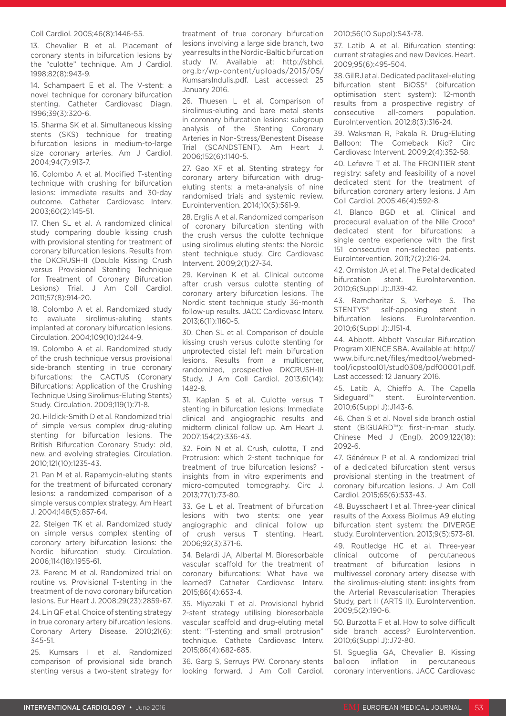#### Coll Cardiol. 2005;46(8):1446-55.

13. Chevalier B et al. Placement of coronary stents in bifurcation lesions by the "culotte" technique. Am J Cardiol. 1998;82(8):943-9.

14. Schampaert E et al. The V-stent: a novel technique for coronary bifurcation stenting. Catheter Cardiovasc Diagn. 1996;39(3):320-6.

15. Sharma SK et al. Simultaneous kissing stents (SKS) technique for treating bifurcation lesions in medium-to-large size coronary arteries. Am J Cardiol. 2004;94(7):913-7.

16. Colombo A et al. Modified T-stenting technique with crushing for bifurcation lesions: immediate results and 30-day outcome. Catheter Cardiovasc Interv. 2003;60(2):145-51.

17. Chen SL et al. A randomized clinical study comparing double kissing crush with provisional stenting for treatment of coronary bifurcation lesions. Results from the DKCRUSH-II (Double Kissing Crush versus Provisional Stenting Technique for Treatment of Coronary Bifurcation Lesions) Trial. J Am Coll Cardiol. 2011;57(8):914-20.

18. Colombo A et al. Randomized study to evaluate sirolimus-eluting stents implanted at coronary bifurcation lesions. Circulation. 2004;109(10):1244-9.

19. Colombo A et al. Randomized study of the crush technique versus provisional side-branch stenting in true coronary bifurcations: the CACTUS (Coronary Bifurcations: Application of the Crushing Technique Using Sirolimus-Eluting Stents) Study. Circulation. 2009;119(1):71-8.

20. Hildick-Smith D et al. Randomized trial of simple versus complex drug-eluting stenting for bifurcation lesions. The British Bifurcation Coronary Study: old, new, and evolving strategies. Circulation. 2010;121(10):1235-43.

21. Pan M et al. Rapamycin-eluting stents for the treatment of bifurcated coronary lesions: a randomized comparison of a simple versus complex strategy. Am Heart J. 2004;148(5):857-64.

22. Steigen TK et al. Randomized study on simple versus complex stenting of coronary artery bifurcation lesions: the Nordic bifurcation study. Circulation. 2006;114(18):1955-61.

23. Ferenc M et al. Randomized trial on routine vs. Provisional T-stenting in the treatment of de novo coronary bifurcation lesions. Eur Heart J. 2008;29(23):2859-67.

24. Lin QF et al. Choice of stenting strategy in true coronary artery bifurcation lesions. Coronary Artery Disease. 2010;21(6): 345-51.

25. Kumsars I et al. Randomized comparison of provisional side branch stenting versus a two-stent strategy for treatment of true coronary bifurcation lesions involving a large side branch, two year results in the Nordic-Baltic bifurcation study IV. Available at: http://sbhci. org.br/wp-content/uploads/2015/05/ KumsarsIndulis.pdf. Last accessed: 25 January 2016.

26. Thuesen L et al. Comparison of sirolimus-eluting and bare metal stents in coronary bifurcation lesions: subgroup analysis of the Stenting Coronary Arteries in Non-Stress/Benestent Disease Trial (SCANDSTENT). Am Heart J. 2006;152(6):1140-5.

27. Gao XF et al. Stenting strategy for coronary artery bifurcation with drugeluting stents: a meta-analysis of nine randomised trials and systemic review. Eurointervention. 2014;10(5):561-9.

28. Erglis A et al. Randomized comparison of coronary bifurcation stenting with the crush versus the culotte technique using sirolimus eluting stents: the Nordic stent technique study. Circ Cardiovasc Intervent. 2009;2(1):27-34.

29. Kervinen K et al. Clinical outcome after crush versus culotte stenting of coronary artery bifurcation lesions. The Nordic stent technique study 36-month follow-up results. JACC Cardiovasc Interv. 2013;6(11):1160-5.

30. Chen SL et al. Comparison of double kissing crush versus culotte stenting for unprotected distal left main bifurcation lesions. Results from a multicenter, randomized, prospective DKCRUSH-III Study. J Am Coll Cardiol. 2013;61(14): 1482-8.

31. Kaplan S et al. Culotte versus T stenting in bifurcation lesions: Immediate clinical and angiographic results and midterm clinical follow up. Am Heart J. 2007;154(2):336-43.

32. Foin N et al. Crush, culotte, T and Protrusion: which 2-stent technique for treatment of true bifurcation lesions? insights from in vitro experiments and micro-computed tomography. Circ J. 2013;77(1):73-80.

33. Ge L et al. Treatment of bifurcation lesions with two stents: one year angiographic and clinical follow up of crush versus T stenting. Heart. 2006;92(3):371-6.

34. Belardi JA, Albertal M. Bioresorbable vascular scaffold for the treatment of coronary bifurcations: What have we learned? Catheter Cardiovasc Interv. 2015;86(4):653-4.

35. Miyazaki T et al. Provisional hybrid 2-stent strategy utilising bioresorbable vascular scaffold and drug-eluting metal stent: "T-stenting and small protrusion" technique. Cathete Cardiovasc Interv. 2015;86(4):682-685.

36. Garg S, Serruys PW. Coronary stents looking forward. J Am Coll Cardiol. 2010;56(10 Suppl):S43-78.

37. Latib A et al. Bifurcation stenting: current strategies and new Devices. Heart. 2009;95(6):495-504.

38. Gil RJ et al. Dedicated paclitaxel-eluting bifurcation stent BiOSS® (bifurcation optimisation stent system): 12-month results from a prospective registry of consecutive all-comers population. EuroIntervention. 2012;8(3):316-24.

39. Waksman R, Pakala R. Drug-Eluting Balloon: The Comeback Kid? Circ Cardiovasc Intervent. 2009;2(4):352-58.

40. Lefevre T et al. The FRONTIER stent registry: safety and feasibility of a novel dedicated stent for the treatment of bifurcation coronary artery lesions. J Am Coll Cardiol. 2005;46(4):592-8.

41. Blanco BGD et al. Clinical and procedural evaluation of the Nile Croco® dedicated stent for bifurcations: a single centre experience with the first 151 consecutive non-selected patients. EuroIntervention. 2011;7(2):216-24.

42. Ormiston JA et al. The Petal dedicated bifurcation stent. EuroIntervention. 2010;6(Suppl J):J139-42.

43. Ramcharitar S, Verheye S. The STENTYS® self-apposing stent in bifurcation lesions. EuroIntervention. 2010;6(Suppl J):J151-4.

44. Abbott. Abbott Vascular Bifurcation Program XIENCE SBA. Available at: http:// www.bifurc.net/files/medtool/webmedtool/icpstool01/stud0308/pdf00001.pdf. Last accessed: 12 January 2016.

45. Latib A, Chieffo A. The Capella Sideguard™ stent. EuroIntervention. 2010;6(Suppl J):J143-6.

46. Chen S et al. Novel side branch ostial stent (BIGUARD™): first-in-man study. Chinese Med J (Engl). 2009;122(18): 2092-6.

47. Généreux P et al. A randomized trial of a dedicated bifurcation stent versus provisional stenting in the treatment of coronary bifurcation lesions. J Am Coll Cardiol. 2015;65(6):533-43.

48. Buysschaert I et al. Three-year clinical results of the Axxess Biolimus A9 eluting bifurcation stent system: the DIVERGE study. EuroIntervention. 2013;9(5):573-81.

49. Routledge HC et al. Three-year clinical outcome of percutaneous treatment of bifurcation lesions in multivessel coronary artery disease with the sirolimus-eluting stent: insights from the Arterial Revascularisation Therapies Study, part II (ARTS II). EuroIntervention. 2009;5(2):190-6.

50. Burzotta F et al. How to solve difficult side branch access? EuroIntervention. 2010;6(Suppl J):J72-80.

51. Sgueglia GA, Chevalier B. Kissing balloon inflation in percutaneous coronary interventions. JACC Cardiovasc